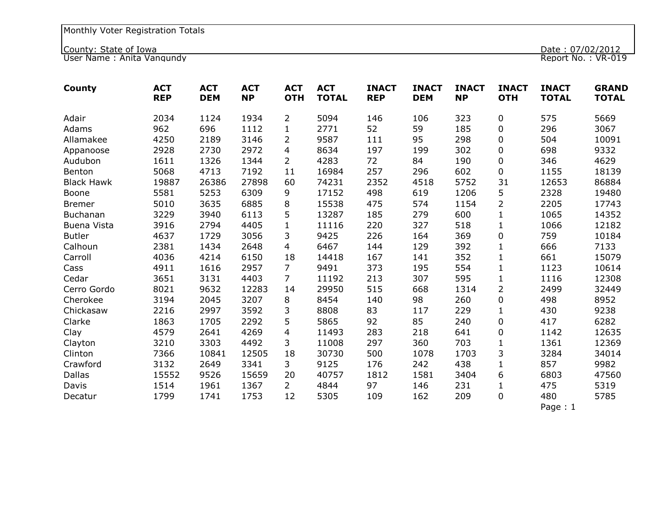County: State of Iowa Date : 07/02/2012

User Name : Anita Vangundy Report No. : VR-019

| County            | <b>ACT</b><br><b>REP</b> | <b>ACT</b><br><b>DEM</b> | <b>ACT</b><br><b>NP</b> | <b>ACT</b><br><b>OTH</b> | <b>ACT</b><br><b>TOTAL</b> | <b>INACT</b><br><b>REP</b> | <b>INACT</b><br><b>DEM</b> | <b>INACT</b><br><b>NP</b> | <b>INACT</b><br><b>OTH</b> | <b>INACT</b><br><b>TOTAL</b> | <b>GRAND</b><br><b>TOTAL</b> |
|-------------------|--------------------------|--------------------------|-------------------------|--------------------------|----------------------------|----------------------------|----------------------------|---------------------------|----------------------------|------------------------------|------------------------------|
| Adair             | 2034                     | 1124                     | 1934                    | $\overline{2}$           | 5094                       | 146                        | 106                        | 323                       | 0                          | 575                          | 5669                         |
| Adams             | 962                      | 696                      | 1112                    | $\mathbf{1}$             | 2771                       | 52                         | 59                         | 185                       | $\pmb{0}$                  | 296                          | 3067                         |
| Allamakee         | 4250                     | 2189                     | 3146                    | 2                        | 9587                       | 111                        | 95                         | 298                       | 0                          | 504                          | 10091                        |
| Appanoose         | 2928                     | 2730                     | 2972                    | 4                        | 8634                       | 197                        | 199                        | 302                       | 0                          | 698                          | 9332                         |
| Audubon           | 1611                     | 1326                     | 1344                    | $\overline{2}$           | 4283                       | 72                         | 84                         | 190                       | $\pmb{0}$                  | 346                          | 4629                         |
| Benton            | 5068                     | 4713                     | 7192                    | 11                       | 16984                      | 257                        | 296                        | 602                       | 0                          | 1155                         | 18139                        |
| <b>Black Hawk</b> | 19887                    | 26386                    | 27898                   | 60                       | 74231                      | 2352                       | 4518                       | 5752                      | 31                         | 12653                        | 86884                        |
| Boone             | 5581                     | 5253                     | 6309                    | 9                        | 17152                      | 498                        | 619                        | 1206                      | 5                          | 2328                         | 19480                        |
| <b>Bremer</b>     | 5010                     | 3635                     | 6885                    | 8                        | 15538                      | 475                        | 574                        | 1154                      | $\overline{2}$             | 2205                         | 17743                        |
| Buchanan          | 3229                     | 3940                     | 6113                    | 5                        | 13287                      | 185                        | 279                        | 600                       | $\mathbf{1}$               | 1065                         | 14352                        |
| Buena Vista       | 3916                     | 2794                     | 4405                    | $\mathbf{1}$             | 11116                      | 220                        | 327                        | 518                       | $\mathbf{1}$               | 1066                         | 12182                        |
| <b>Butler</b>     | 4637                     | 1729                     | 3056                    | 3                        | 9425                       | 226                        | 164                        | 369                       | $\pmb{0}$                  | 759                          | 10184                        |
| Calhoun           | 2381                     | 1434                     | 2648                    | 4                        | 6467                       | 144                        | 129                        | 392                       | $\mathbf{1}$               | 666                          | 7133                         |
| Carroll           | 4036                     | 4214                     | 6150                    | 18                       | 14418                      | 167                        | 141                        | 352                       | $\mathbf{1}$               | 661                          | 15079                        |
| Cass              | 4911                     | 1616                     | 2957                    | 7                        | 9491                       | 373                        | 195                        | 554                       | $\mathbf{1}$               | 1123                         | 10614                        |
| Cedar             | 3651                     | 3131                     | 4403                    | $\overline{7}$           | 11192                      | 213                        | 307                        | 595                       | $\mathbf{1}$               | 1116                         | 12308                        |
| Cerro Gordo       | 8021                     | 9632                     | 12283                   | 14                       | 29950                      | 515                        | 668                        | 1314                      | $\overline{2}$             | 2499                         | 32449                        |
| Cherokee          | 3194                     | 2045                     | 3207                    | 8                        | 8454                       | 140                        | 98                         | 260                       | 0                          | 498                          | 8952                         |
| Chickasaw         | 2216                     | 2997                     | 3592                    | 3                        | 8808                       | 83                         | 117                        | 229                       | $\mathbf{1}$               | 430                          | 9238                         |
| Clarke            | 1863                     | 1705                     | 2292                    | 5                        | 5865                       | 92                         | 85                         | 240                       | $\pmb{0}$                  | 417                          | 6282                         |
| Clay              | 4579                     | 2641                     | 4269                    | 4                        | 11493                      | 283                        | 218                        | 641                       | 0                          | 1142                         | 12635                        |
| Clayton           | 3210                     | 3303                     | 4492                    | 3                        | 11008                      | 297                        | 360                        | 703                       | $\mathbf{1}$               | 1361                         | 12369                        |
| Clinton           | 7366                     | 10841                    | 12505                   | 18                       | 30730                      | 500                        | 1078                       | 1703                      | 3                          | 3284                         | 34014                        |
| Crawford          | 3132                     | 2649                     | 3341                    | 3                        | 9125                       | 176                        | 242                        | 438                       | $\mathbf{1}$               | 857                          | 9982                         |
| <b>Dallas</b>     | 15552                    | 9526                     | 15659                   | 20                       | 40757                      | 1812                       | 1581                       | 3404                      | 6                          | 6803                         | 47560                        |
| Davis             | 1514                     | 1961                     | 1367                    | $\overline{2}$           | 4844                       | 97                         | 146                        | 231                       | $\mathbf{1}$               | 475                          | 5319                         |
| Decatur           | 1799                     | 1741                     | 1753                    | 12                       | 5305                       | 109                        | 162                        | 209                       | $\mathbf 0$                | 480                          | 5785                         |
|                   |                          |                          |                         |                          |                            |                            |                            |                           |                            | Page: 1                      |                              |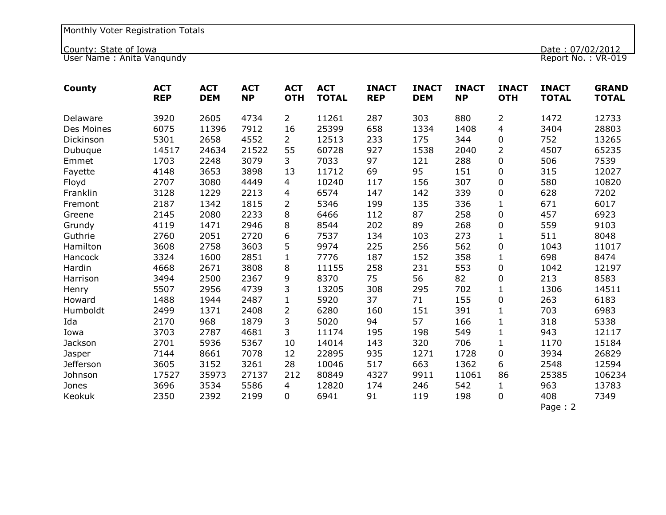County: State of Iowa Date : 07/02/2012

User Name : Anita Vangundy Report No. : VR-019

| County           | <b>ACT</b><br><b>REP</b> | <b>ACT</b><br><b>DEM</b> | <b>ACT</b><br><b>NP</b> | <b>ACT</b><br><b>OTH</b> | <b>ACT</b><br><b>TOTAL</b> | <b>INACT</b><br><b>REP</b> | <b>INACT</b><br><b>DEM</b> | <b>INACT</b><br><b>NP</b> | <b>INACT</b><br><b>OTH</b> | <b>INACT</b><br><b>TOTAL</b> | <b>GRAND</b><br><b>TOTAL</b> |
|------------------|--------------------------|--------------------------|-------------------------|--------------------------|----------------------------|----------------------------|----------------------------|---------------------------|----------------------------|------------------------------|------------------------------|
| Delaware         | 3920                     | 2605                     | 4734                    | $\overline{2}$           | 11261                      | 287                        | 303                        | 880                       | $\overline{2}$             | 1472                         | 12733                        |
| Des Moines       | 6075                     | 11396                    | 7912                    | 16                       | 25399                      | 658                        | 1334                       | 1408                      | 4                          | 3404                         | 28803                        |
| Dickinson        | 5301                     | 2658                     | 4552                    | $\overline{2}$           | 12513                      | 233                        | 175                        | 344                       | 0                          | 752                          | 13265                        |
| Dubuque          | 14517                    | 24634                    | 21522                   | 55                       | 60728                      | 927                        | 1538                       | 2040                      | $\overline{2}$             | 4507                         | 65235                        |
| Emmet            | 1703                     | 2248                     | 3079                    | 3                        | 7033                       | 97                         | 121                        | 288                       | 0                          | 506                          | 7539                         |
| Fayette          | 4148                     | 3653                     | 3898                    | 13                       | 11712                      | 69                         | 95                         | 151                       | 0                          | 315                          | 12027                        |
| Floyd            | 2707                     | 3080                     | 4449                    | 4                        | 10240                      | 117                        | 156                        | 307                       | 0                          | 580                          | 10820                        |
| Franklin         | 3128                     | 1229                     | 2213                    | 4                        | 6574                       | 147                        | 142                        | 339                       | 0                          | 628                          | 7202                         |
| Fremont          | 2187                     | 1342                     | 1815                    | $\overline{2}$           | 5346                       | 199                        | 135                        | 336                       | $\mathbf{1}$               | 671                          | 6017                         |
| Greene           | 2145                     | 2080                     | 2233                    | 8                        | 6466                       | 112                        | 87                         | 258                       | $\pmb{0}$                  | 457                          | 6923                         |
| Grundy           | 4119                     | 1471                     | 2946                    | 8                        | 8544                       | 202                        | 89                         | 268                       | $\pmb{0}$                  | 559                          | 9103                         |
| Guthrie          | 2760                     | 2051                     | 2720                    | 6                        | 7537                       | 134                        | 103                        | 273                       | $\mathbf{1}$               | 511                          | 8048                         |
| Hamilton         | 3608                     | 2758                     | 3603                    | 5                        | 9974                       | 225                        | 256                        | 562                       | 0                          | 1043                         | 11017                        |
| Hancock          | 3324                     | 1600                     | 2851                    | $\mathbf{1}$             | 7776                       | 187                        | 152                        | 358                       | $\mathbf{1}$               | 698                          | 8474                         |
| Hardin           | 4668                     | 2671                     | 3808                    | 8                        | 11155                      | 258                        | 231                        | 553                       | $\pmb{0}$                  | 1042                         | 12197                        |
| Harrison         | 3494                     | 2500                     | 2367                    | 9                        | 8370                       | 75                         | 56                         | 82                        | 0                          | 213                          | 8583                         |
| Henry            | 5507                     | 2956                     | 4739                    | 3                        | 13205                      | 308                        | 295                        | 702                       | $\mathbf{1}$               | 1306                         | 14511                        |
| Howard           | 1488                     | 1944                     | 2487                    | $\mathbf{1}$             | 5920                       | 37                         | 71                         | 155                       | 0                          | 263                          | 6183                         |
| Humboldt         | 2499                     | 1371                     | 2408                    | $\overline{2}$           | 6280                       | 160                        | 151                        | 391                       | $\mathbf{1}$               | 703                          | 6983                         |
| Ida              | 2170                     | 968                      | 1879                    | 3                        | 5020                       | 94                         | 57                         | 166                       | $\mathbf{1}$               | 318                          | 5338                         |
| Iowa             | 3703                     | 2787                     | 4681                    | 3                        | 11174                      | 195                        | 198                        | 549                       | $\mathbf{1}$               | 943                          | 12117                        |
| Jackson          | 2701                     | 5936                     | 5367                    | 10                       | 14014                      | 143                        | 320                        | 706                       | $\mathbf{1}$               | 1170                         | 15184                        |
| Jasper           | 7144                     | 8661                     | 7078                    | 12                       | 22895                      | 935                        | 1271                       | 1728                      | 0                          | 3934                         | 26829                        |
| <b>Jefferson</b> | 3605                     | 3152                     | 3261                    | 28                       | 10046                      | 517                        | 663                        | 1362                      | 6                          | 2548                         | 12594                        |
| Johnson          | 17527                    | 35973                    | 27137                   | 212                      | 80849                      | 4327                       | 9911                       | 11061                     | 86                         | 25385                        | 106234                       |
| Jones            | 3696                     | 3534                     | 5586                    | 4                        | 12820                      | 174                        | 246                        | 542                       | $\mathbf{1}$               | 963                          | 13783                        |
| Keokuk           | 2350                     | 2392                     | 2199                    | 0                        | 6941                       | 91                         | 119                        | 198                       | 0                          | 408                          | 7349                         |
|                  |                          |                          |                         |                          |                            |                            |                            |                           |                            | Page: $2$                    |                              |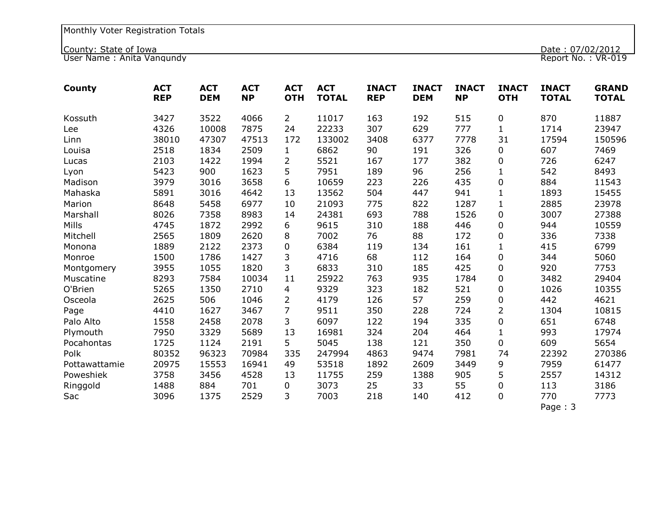County: State of Iowa Date : 07/02/2012

User Name : Anita Vangundy Report No. : VR-019

| County        | <b>ACT</b><br><b>REP</b> | <b>ACT</b><br><b>DEM</b> | <b>ACT</b><br><b>NP</b> | <b>ACT</b><br><b>OTH</b> | <b>ACT</b><br><b>TOTAL</b> | <b>INACT</b><br><b>REP</b> | <b>INACT</b><br><b>DEM</b> | <b>INACT</b><br><b>NP</b> | <b>INACT</b><br><b>OTH</b> | <b>INACT</b><br><b>TOTAL</b> | <b>GRAND</b><br><b>TOTAL</b> |
|---------------|--------------------------|--------------------------|-------------------------|--------------------------|----------------------------|----------------------------|----------------------------|---------------------------|----------------------------|------------------------------|------------------------------|
| Kossuth       | 3427                     | 3522                     | 4066                    | $\overline{2}$           | 11017                      | 163                        | 192                        | 515                       | 0                          | 870                          | 11887                        |
| Lee           | 4326                     | 10008                    | 7875                    | 24                       | 22233                      | 307                        | 629                        | 777                       | $\mathbf{1}$               | 1714                         | 23947                        |
| Linn          | 38010                    | 47307                    | 47513                   | 172                      | 133002                     | 3408                       | 6377                       | 7778                      | 31                         | 17594                        | 150596                       |
| Louisa        | 2518                     | 1834                     | 2509                    | $\mathbf{1}$             | 6862                       | 90                         | 191                        | 326                       | 0                          | 607                          | 7469                         |
| Lucas         | 2103                     | 1422                     | 1994                    | 2                        | 5521                       | 167                        | 177                        | 382                       | 0                          | 726                          | 6247                         |
| Lyon          | 5423                     | 900                      | 1623                    | 5                        | 7951                       | 189                        | 96                         | 256                       | $\mathbf{1}$               | 542                          | 8493                         |
| Madison       | 3979                     | 3016                     | 3658                    | 6                        | 10659                      | 223                        | 226                        | 435                       | 0                          | 884                          | 11543                        |
| Mahaska       | 5891                     | 3016                     | 4642                    | 13                       | 13562                      | 504                        | 447                        | 941                       | $\mathbf{1}$               | 1893                         | 15455                        |
| Marion        | 8648                     | 5458                     | 6977                    | 10                       | 21093                      | 775                        | 822                        | 1287                      | $\mathbf{1}$               | 2885                         | 23978                        |
| Marshall      | 8026                     | 7358                     | 8983                    | 14                       | 24381                      | 693                        | 788                        | 1526                      | 0                          | 3007                         | 27388                        |
| Mills         | 4745                     | 1872                     | 2992                    | 6                        | 9615                       | 310                        | 188                        | 446                       | 0                          | 944                          | 10559                        |
| Mitchell      | 2565                     | 1809                     | 2620                    | 8                        | 7002                       | 76                         | 88                         | 172                       | 0                          | 336                          | 7338                         |
| Monona        | 1889                     | 2122                     | 2373                    | 0                        | 6384                       | 119                        | 134                        | 161                       | $\mathbf{1}$               | 415                          | 6799                         |
| Monroe        | 1500                     | 1786                     | 1427                    | 3                        | 4716                       | 68                         | 112                        | 164                       | $\pmb{0}$                  | 344                          | 5060                         |
| Montgomery    | 3955                     | 1055                     | 1820                    | 3                        | 6833                       | 310                        | 185                        | 425                       | $\mathbf 0$                | 920                          | 7753                         |
| Muscatine     | 8293                     | 7584                     | 10034                   | 11                       | 25922                      | 763                        | 935                        | 1784                      | $\pmb{0}$                  | 3482                         | 29404                        |
| O'Brien       | 5265                     | 1350                     | 2710                    | 4                        | 9329                       | 323                        | 182                        | 521                       | 0                          | 1026                         | 10355                        |
| Osceola       | 2625                     | 506                      | 1046                    | $\overline{2}$           | 4179                       | 126                        | 57                         | 259                       | $\pmb{0}$                  | 442                          | 4621                         |
| Page          | 4410                     | 1627                     | 3467                    | $\overline{7}$           | 9511                       | 350                        | 228                        | 724                       | $\overline{2}$             | 1304                         | 10815                        |
| Palo Alto     | 1558                     | 2458                     | 2078                    | 3                        | 6097                       | 122                        | 194                        | 335                       | $\pmb{0}$                  | 651                          | 6748                         |
| Plymouth      | 7950                     | 3329                     | 5689                    | 13                       | 16981                      | 324                        | 204                        | 464                       | $\mathbf{1}$               | 993                          | 17974                        |
| Pocahontas    | 1725                     | 1124                     | 2191                    | 5                        | 5045                       | 138                        | 121                        | 350                       | 0                          | 609                          | 5654                         |
| Polk          | 80352                    | 96323                    | 70984                   | 335                      | 247994                     | 4863                       | 9474                       | 7981                      | 74                         | 22392                        | 270386                       |
| Pottawattamie | 20975                    | 15553                    | 16941                   | 49                       | 53518                      | 1892                       | 2609                       | 3449                      | 9                          | 7959                         | 61477                        |
| Poweshiek     | 3758                     | 3456                     | 4528                    | 13                       | 11755                      | 259                        | 1388                       | 905                       | 5                          | 2557                         | 14312                        |
| Ringgold      | 1488                     | 884                      | 701                     | 0                        | 3073                       | 25                         | 33                         | 55                        | $\pmb{0}$                  | 113                          | 3186                         |
| Sac           | 3096                     | 1375                     | 2529                    | 3                        | 7003                       | 218                        | 140                        | 412                       | $\mathbf 0$                | 770                          | 7773                         |
|               |                          |                          |                         |                          |                            |                            |                            |                           |                            | Page: 3                      |                              |